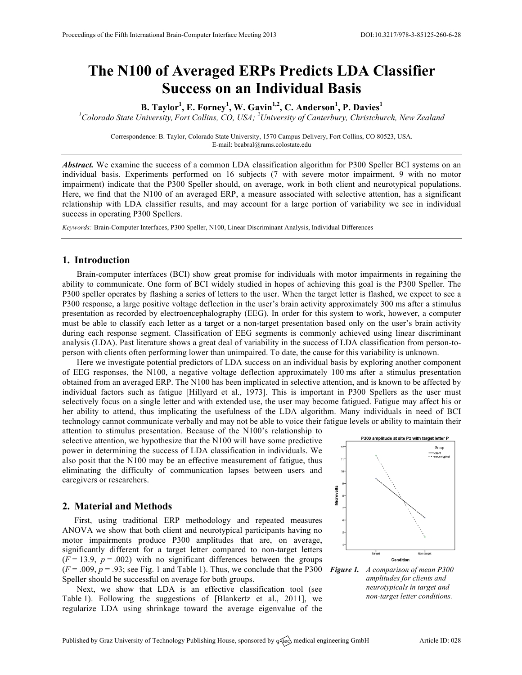# **The N100 of Averaged ERPs Predicts LDA Classifier Success on an Individual Basis**

**B. Taylor<sup>1</sup> , E. Forney<sup>1</sup> , W. Gavin1,2 , C. Anderson<sup>1</sup> , P. Davies<sup>1</sup>**

*1 Colorado State University, Fort Collins, CO, USA; <sup>2</sup> University of Canterbury, Christchurch, New Zealand*

Correspondence: B. Taylor, Colorado State University, 1570 Campus Delivery, Fort Collins, CO 80523, USA. E-mail: bcabral@rams.colostate.edu

*Abstract.* We examine the success of a common LDA classification algorithm for P300 Speller BCI systems on an individual basis. Experiments performed on 16 subjects (7 with severe motor impairment, 9 with no motor impairment) indicate that the P300 Speller should, on average, work in both client and neurotypical populations. Here, we find that the N100 of an averaged ERP, a measure associated with selective attention, has a significant relationship with LDA classifier results, and may account for a large portion of variability we see in individual success in operating P300 Spellers.

*Keywords:* Brain-Computer Interfaces, P300 Speller, N100, Linear Discriminant Analysis, Individual Differences

## **1. Introduction**

Brain-computer interfaces (BCI) show great promise for individuals with motor impairments in regaining the ability to communicate. One form of BCI widely studied in hopes of achieving this goal is the P300 Speller. The P300 speller operates by flashing a series of letters to the user. When the target letter is flashed, we expect to see a P300 response, a large positive voltage deflection in the user's brain activity approximately 300 ms after a stimulus presentation as recorded by electroencephalography (EEG). In order for this system to work, however, a computer must be able to classify each letter as a target or a non-target presentation based only on the user's brain activity during each response segment. Classification of EEG segments is commonly achieved using linear discriminant analysis (LDA). Past literature shows a great deal of variability in the success of LDA classification from person-toperson with clients often performing lower than unimpaired. To date, the cause for this variability is unknown.

Here we investigate potential predictors of LDA success on an individual basis by exploring another component of EEG responses, the N100, a negative voltage deflection approximately 100 ms after a stimulus presentation obtained from an averaged ERP. The N100 has been implicated in selective attention, and is known to be affected by individual factors such as fatigue [Hillyard et al., 1973]. This is important in P300 Spellers as the user must selectively focus on a single letter and with extended use, the user may become fatigued. Fatigue may affect his or her ability to attend, thus implicating the usefulness of the LDA algorithm. Many individuals in need of BCI technology cannot communicate verbally and may not be able to voice their fatigue levels or ability to maintain their

attention to stimulus presentation. Because of the N100's relationship to selective attention, we hypothesize that the N100 will have some predictive power in determining the success of LDA classification in individuals. We also posit that the N100 may be an effective measurement of fatigue, thus eliminating the difficulty of communication lapses between users and caregivers or researchers.

## **2. Material and Methods**

First, using traditional ERP methodology and repeated measures ANOVA we show that both client and neurotypical participants having no motor impairments produce P300 amplitudes that are, on average, significantly different for a target letter compared to non-target letters  $(F = 13.9, p = .002)$  with no significant differences between the groups  $(F = .009, p = .93;$  see Fig. 1 and Table 1). Thus, we conclude that the P300 *Figure 1. A comparison of mean P300* Speller should be successful on average for both groups.

Next, we show that LDA is an effective classification tool (see Table 1). Following the suggestions of [Blankertz et al., 2011], we regularize LDA using shrinkage toward the average eigenvalue of the